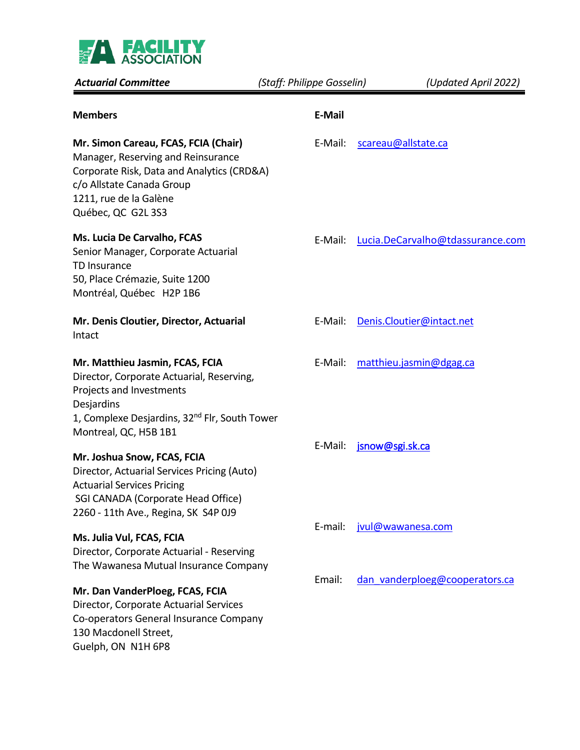

| <b>Actuarial Committee</b>                                                                                                                                                                                   | (Staff: Philippe Gosselin) | (Updated April 2022)             |
|--------------------------------------------------------------------------------------------------------------------------------------------------------------------------------------------------------------|----------------------------|----------------------------------|
| <b>Members</b>                                                                                                                                                                                               | E-Mail                     |                                  |
| Mr. Simon Careau, FCAS, FCIA (Chair)<br>Manager, Reserving and Reinsurance<br>Corporate Risk, Data and Analytics (CRD&A)<br>c/o Allstate Canada Group<br>1211, rue de la Galène<br>Québec, QC G2L 3S3        | E-Mail:                    | scareau@allstate.ca              |
| Ms. Lucia De Carvalho, FCAS<br>Senior Manager, Corporate Actuarial<br>TD Insurance<br>50, Place Crémazie, Suite 1200<br>Montréal, Québec H2P 1B6                                                             | E-Mail:                    | Lucia.DeCarvalho@tdassurance.com |
| Mr. Denis Cloutier, Director, Actuarial<br>Intact                                                                                                                                                            | E-Mail:                    | Denis.Cloutier@intact.net        |
| Mr. Matthieu Jasmin, FCAS, FCIA<br>Director, Corporate Actuarial, Reserving,<br>Projects and Investments<br>Desjardins<br>1, Complexe Desjardins, 32 <sup>nd</sup> Flr, South Tower<br>Montreal, QC, H5B 1B1 | E-Mail:                    | matthieu.jasmin@dgag.ca          |
| Mr. Joshua Snow, FCAS, FCIA<br>Director, Actuarial Services Pricing (Auto)<br><b>Actuarial Services Pricing</b><br>SGI CANADA (Corporate Head Office)<br>2260 - 11th Ave., Regina, SK S4P 0J9                | E-Mail:                    | jsnow@sgi.sk.ca                  |
| Ms. Julia Vul, FCAS, FCIA<br>Director, Corporate Actuarial - Reserving<br>The Wawanesa Mutual Insurance Company                                                                                              | E-mail:                    | jvul@wawanesa.com                |
| Mr. Dan VanderPloeg, FCAS, FCIA<br>Director, Corporate Actuarial Services<br>Co-operators General Insurance Company<br>130 Macdonell Street,<br>Guelph, ON N1H 6P8                                           | Email:                     | dan vanderploeg@cooperators.ca   |